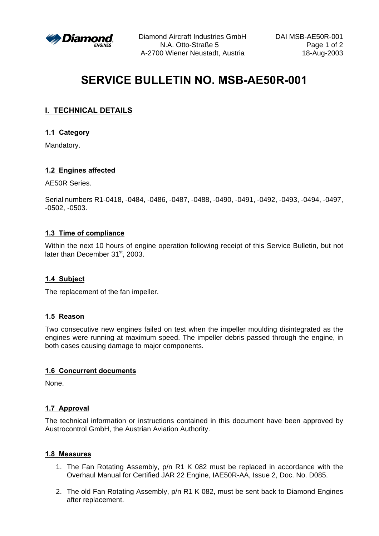

Diamond Aircraft Industries GmbH DAI MSB-AE50R-001 N.A. Otto-Straße 5 Page 1 of 2 A-2700 Wiener Neustadt, Austria 18-Aug-2003

# **SERVICE BULLETIN NO. MSB-AE50R-001**

# **I. TECHNICAL DETAILS**

## **1.1 Category**

Mandatory.

## **1.2 Engines affected**

AE50R Series.

Serial numbers R1-0418, -0484, -0486, -0487, -0488, -0490, -0491, -0492, -0493, -0494, -0497, -0502, -0503.

## **1.3 Time of compliance**

Within the next 10 hours of engine operation following receipt of this Service Bulletin, but not later than December 31<sup>st</sup>, 2003.

## **1.4 Subject**

The replacement of the fan impeller.

## **1.5 Reason**

Two consecutive new engines failed on test when the impeller moulding disintegrated as the engines were running at maximum speed. The impeller debris passed through the engine, in both cases causing damage to major components.

## **1.6 Concurrent documents**

None.

## **1.7 Approval**

The technical information or instructions contained in this document have been approved by Austrocontrol GmbH, the Austrian Aviation Authority.

#### **1.8 Measures**

- 1. The Fan Rotating Assembly, p/n R1 K 082 must be replaced in accordance with the Overhaul Manual for Certified JAR 22 Engine, IAE50R-AA, Issue 2, Doc. No. D085.
- 2. The old Fan Rotating Assembly, p/n R1 K 082, must be sent back to Diamond Engines after replacement.